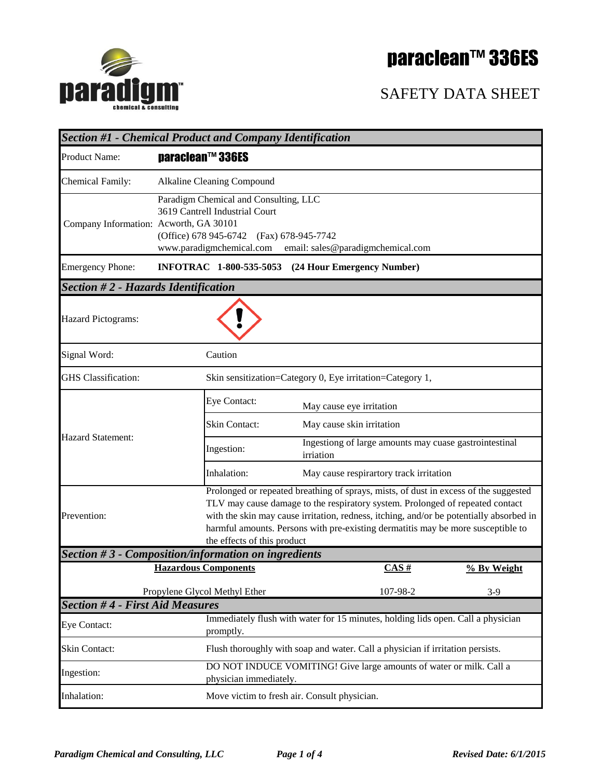



| paradigm                                   |                                                                                                                                                                                                                                                                                                                                                                                     |                                                                                  |                                         | <b>SAFETY DATA SHEET</b> |  |  |
|--------------------------------------------|-------------------------------------------------------------------------------------------------------------------------------------------------------------------------------------------------------------------------------------------------------------------------------------------------------------------------------------------------------------------------------------|----------------------------------------------------------------------------------|-----------------------------------------|--------------------------|--|--|
|                                            | <b>Section #1 - Chemical Product and Company Identification</b>                                                                                                                                                                                                                                                                                                                     |                                                                                  |                                         |                          |  |  |
| <b>Product Name:</b>                       | paraclean™ 336ES                                                                                                                                                                                                                                                                                                                                                                    |                                                                                  |                                         |                          |  |  |
| <b>Chemical Family:</b>                    | Alkaline Cleaning Compound                                                                                                                                                                                                                                                                                                                                                          |                                                                                  |                                         |                          |  |  |
| Company Information: Acworth, GA 30101     | Paradigm Chemical and Consulting, LLC<br>3619 Cantrell Industrial Court<br>(Office) 678 945-6742 (Fax) 678-945-7742<br>www.paradigmchemical.com email: sales@paradigmchemical.com                                                                                                                                                                                                   |                                                                                  |                                         |                          |  |  |
| <b>Emergency Phone:</b>                    | INFOTRAC 1-800-535-5053 (24 Hour Emergency Number)                                                                                                                                                                                                                                                                                                                                  |                                                                                  |                                         |                          |  |  |
| <b>Section #2 - Hazards Identification</b> |                                                                                                                                                                                                                                                                                                                                                                                     |                                                                                  |                                         |                          |  |  |
| <b>Hazard Pictograms:</b>                  |                                                                                                                                                                                                                                                                                                                                                                                     |                                                                                  |                                         |                          |  |  |
| Signal Word:                               | Caution                                                                                                                                                                                                                                                                                                                                                                             |                                                                                  |                                         |                          |  |  |
| <b>GHS</b> Classification:                 |                                                                                                                                                                                                                                                                                                                                                                                     | Skin sensitization=Category 0, Eye irritation=Category 1,                        |                                         |                          |  |  |
|                                            | Eye Contact:                                                                                                                                                                                                                                                                                                                                                                        | May cause eye irritation                                                         |                                         |                          |  |  |
| <b>Hazard Statement:</b>                   | Skin Contact:                                                                                                                                                                                                                                                                                                                                                                       | May cause skin irritation                                                        |                                         |                          |  |  |
|                                            | Ingestion:                                                                                                                                                                                                                                                                                                                                                                          | Ingestiong of large amounts may cuase gastrointestinal<br>irriation              |                                         |                          |  |  |
|                                            | Inhalation:                                                                                                                                                                                                                                                                                                                                                                         |                                                                                  | May cause respirartory track irritation |                          |  |  |
| Prevention:                                | Prolonged or repeated breathing of sprays, mists, of dust in excess of the suggested<br>TLV may cause damage to the respiratory system. Prolonged of repeated contact<br>with the skin may cause irritation, redness, itching, and/or be potentially absorbed in<br>harmful amounts. Persons with pre-existing dermatitis may be more susceptible to<br>the effects of this product |                                                                                  |                                         |                          |  |  |
|                                            | Section $#3$ - Composition/information on ingredients<br><b>Hazardous Components</b>                                                                                                                                                                                                                                                                                                |                                                                                  | CAS#                                    |                          |  |  |
|                                            |                                                                                                                                                                                                                                                                                                                                                                                     |                                                                                  |                                         | % By Weight              |  |  |
| <b>Section #4 - First Aid Measures</b>     | Propylene Glycol Methyl Ether                                                                                                                                                                                                                                                                                                                                                       |                                                                                  | 107-98-2                                | $3-9$                    |  |  |
| <b>Eye Contact:</b>                        | promptly.                                                                                                                                                                                                                                                                                                                                                                           | Immediately flush with water for 15 minutes, holding lids open. Call a physician |                                         |                          |  |  |
| Skin Contact:                              |                                                                                                                                                                                                                                                                                                                                                                                     | Flush thoroughly with soap and water. Call a physician if irritation persists.   |                                         |                          |  |  |
| Ingestion:                                 | DO NOT INDUCE VOMITING! Give large amounts of water or milk. Call a<br>physician immediately.                                                                                                                                                                                                                                                                                       |                                                                                  |                                         |                          |  |  |
| Inhalation:                                | Move victim to fresh air. Consult physician.                                                                                                                                                                                                                                                                                                                                        |                                                                                  |                                         |                          |  |  |

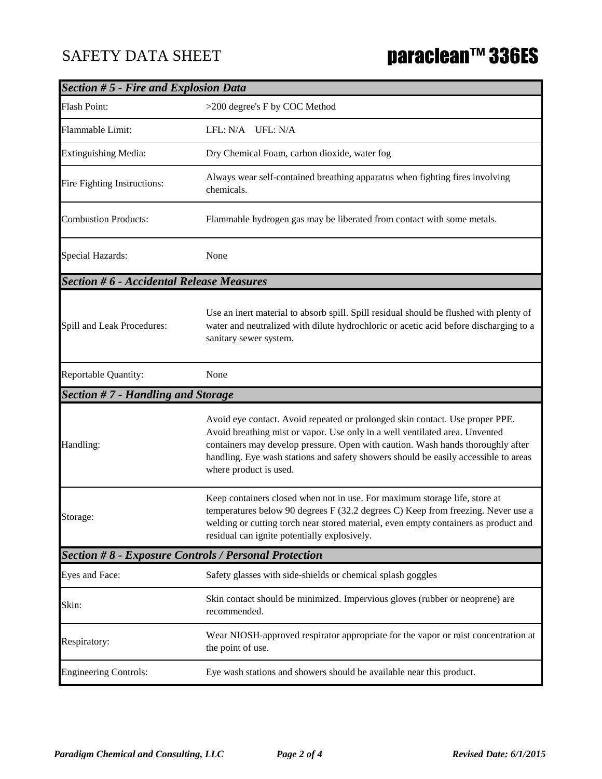| <b>Section #5 - Fire and Explosion Data</b>     |                                                                                                                                                                                                                                                                                                                                                                 |  |  |  |
|-------------------------------------------------|-----------------------------------------------------------------------------------------------------------------------------------------------------------------------------------------------------------------------------------------------------------------------------------------------------------------------------------------------------------------|--|--|--|
| <b>Flash Point:</b>                             | >200 degree's F by COC Method                                                                                                                                                                                                                                                                                                                                   |  |  |  |
| Flammable Limit:                                | LFL: N/A UFL: N/A                                                                                                                                                                                                                                                                                                                                               |  |  |  |
| <b>Extinguishing Media:</b>                     | Dry Chemical Foam, carbon dioxide, water fog                                                                                                                                                                                                                                                                                                                    |  |  |  |
| Fire Fighting Instructions:                     | Always wear self-contained breathing apparatus when fighting fires involving<br>chemicals.                                                                                                                                                                                                                                                                      |  |  |  |
| <b>Combustion Products:</b>                     | Flammable hydrogen gas may be liberated from contact with some metals.                                                                                                                                                                                                                                                                                          |  |  |  |
| Special Hazards:                                | None                                                                                                                                                                                                                                                                                                                                                            |  |  |  |
| <b>Section #6 - Accidental Release Measures</b> |                                                                                                                                                                                                                                                                                                                                                                 |  |  |  |
| Spill and Leak Procedures:                      | Use an inert material to absorb spill. Spill residual should be flushed with plenty of<br>water and neutralized with dilute hydrochloric or acetic acid before discharging to a<br>sanitary sewer system.                                                                                                                                                       |  |  |  |
| Reportable Quantity:                            | None                                                                                                                                                                                                                                                                                                                                                            |  |  |  |
| Section #7 - Handling and Storage               |                                                                                                                                                                                                                                                                                                                                                                 |  |  |  |
| Handling:                                       | Avoid eye contact. Avoid repeated or prolonged skin contact. Use proper PPE.<br>Avoid breathing mist or vapor. Use only in a well ventilated area. Unvented<br>containers may develop pressure. Open with caution. Wash hands thoroughly after<br>handling. Eye wash stations and safety showers should be easily accessible to areas<br>where product is used. |  |  |  |
| Storage:                                        | Keep containers closed when not in use. For maximum storage life, store at<br>temperatures below 90 degrees F (32.2 degrees C) Keep from freezing. Never use a<br>welding or cutting torch near stored material, even empty containers as product and<br>residual can ignite potentially explosively.                                                           |  |  |  |
|                                                 | <b>Section #8 - Exposure Controls / Personal Protection</b>                                                                                                                                                                                                                                                                                                     |  |  |  |
| Eyes and Face:                                  | Safety glasses with side-shields or chemical splash goggles                                                                                                                                                                                                                                                                                                     |  |  |  |
| Skin:                                           | Skin contact should be minimized. Impervious gloves (rubber or neoprene) are<br>recommended.                                                                                                                                                                                                                                                                    |  |  |  |
| Respiratory:                                    | Wear NIOSH-approved respirator appropriate for the vapor or mist concentration at<br>the point of use.                                                                                                                                                                                                                                                          |  |  |  |
|                                                 |                                                                                                                                                                                                                                                                                                                                                                 |  |  |  |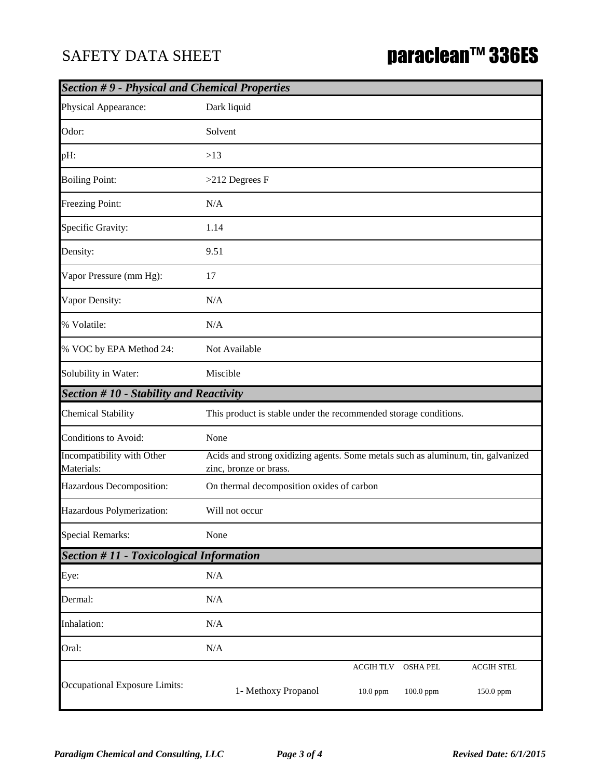## SAFETY DATA SHEET

| <b>Section #9 - Physical and Chemical Properties</b> |                                                                                                                       |  |  |  |
|------------------------------------------------------|-----------------------------------------------------------------------------------------------------------------------|--|--|--|
| Physical Appearance:                                 | Dark liquid                                                                                                           |  |  |  |
| Odor:                                                | Solvent                                                                                                               |  |  |  |
| pH:                                                  | >13                                                                                                                   |  |  |  |
| <b>Boiling Point:</b>                                | $>212$ Degrees F                                                                                                      |  |  |  |
| Freezing Point:                                      | N/A                                                                                                                   |  |  |  |
| Specific Gravity:                                    | 1.14                                                                                                                  |  |  |  |
| Density:                                             | 9.51                                                                                                                  |  |  |  |
| Vapor Pressure (mm Hg):                              | 17                                                                                                                    |  |  |  |
| Vapor Density:                                       | N/A                                                                                                                   |  |  |  |
| % Volatile:                                          | N/A                                                                                                                   |  |  |  |
| % VOC by EPA Method 24:                              | Not Available                                                                                                         |  |  |  |
| Solubility in Water:                                 | Miscible                                                                                                              |  |  |  |
| <b>Section #10 - Stability and Reactivity</b>        |                                                                                                                       |  |  |  |
| <b>Chemical Stability</b>                            | This product is stable under the recommended storage conditions.                                                      |  |  |  |
| Conditions to Avoid:                                 | None                                                                                                                  |  |  |  |
| Incompatibility with Other<br>Materials:             | Acids and strong oxidizing agents. Some metals such as aluminum, tin, galvanized<br>zinc, bronze or brass.            |  |  |  |
| Hazardous Decomposition:                             | On thermal decomposition oxides of carbon                                                                             |  |  |  |
| Hazardous Polymerization:                            | Will not occur                                                                                                        |  |  |  |
| <b>Special Remarks:</b>                              | None                                                                                                                  |  |  |  |
| <b>Section #11 - Toxicological Information</b>       |                                                                                                                       |  |  |  |
| Eye:                                                 | $\rm N/A$                                                                                                             |  |  |  |
| Dermal:                                              | N/A                                                                                                                   |  |  |  |
| Inhalation:                                          | N/A                                                                                                                   |  |  |  |
| Oral:                                                | N/A                                                                                                                   |  |  |  |
| Occupational Exposure Limits:                        | <b>ACGIH TLV</b><br><b>OSHA PEL</b><br><b>ACGIH STEL</b><br>1- Methoxy Propanol<br>10.0 ppm<br>100.0 ppm<br>150.0 ppm |  |  |  |